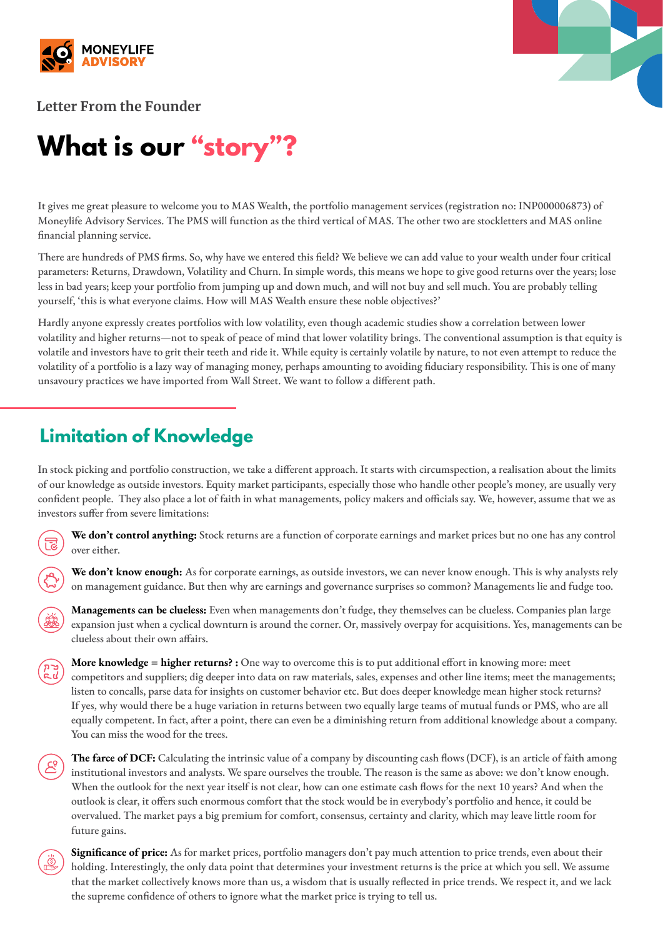



**Letter From the Founder**

# **What is our "story"?**

It gives me great pleasure to welcome you to MAS Wealth, the portfolio management services (registration no: INP000006873) of Moneylife Advisory Services. The PMS will function as the third vertical of MAS. The other two are stockletters and MAS online financial planning service.

There are hundreds of PMS firms. So, why have we entered this field? We believe we can add value to your wealth under four critical parameters: Returns, Drawdown, Volatility and Churn. In simple words, this means we hope to give good returns over the years; lose less in bad years; keep your portfolio from jumping up and down much, and will not buy and sell much. You are probably telling yourself, 'this is what everyone claims. How will MAS Wealth ensure these noble objectives?'

Hardly anyone expressly creates portfolios with low volatility, even though academic studies show a correlation between lower volatility and higher returns—not to speak of peace of mind that lower volatility brings. The conventional assumption is that equity is volatile and investors have to grit their teeth and ride it. While equity is certainly volatile by nature, to not even attempt to reduce the volatility of a portfolio is a lazy way of managing money, perhaps amounting to avoiding fiduciary responsibility. This is one of many unsavoury practices we have imported from Wall Street. We want to follow a different path.

## **Limitation of Knowledge**

In stock picking and portfolio construction, we take a different approach. It starts with circumspection, a realisation about the limits of our knowledge as outside investors. Equity market participants, especially those who handle other people's money, are usually very confident people. They also place a lot of faith in what managements, policy makers and officials say. We, however, assume that we as investors suffer from severe limitations:



**We don't control anything:** Stock returns are a function of corporate earnings and market prices but no one has any control over either.

**We don't know enough:** As for corporate earnings, as outside investors, we can never know enough. This is why analysts rely on management guidance. But then why are earnings and governance surprises so common? Managements lie and fudge too.

**Managements can be clueless:** Even when managements don't fudge, they themselves can be clueless. Companies plan large expansion just when a cyclical downturn is around the corner. Or, massively overpay for acquisitions. Yes, managements can be clueless about their own affairs.

**More knowledge = higher returns? :** One way to overcome this is to put additional effort in knowing more: meet competitors and suppliers; dig deeper into data on raw materials, sales, expenses and other line items; meet the managements; listen to concalls, parse data for insights on customer behavior etc. But does deeper knowledge mean higher stock returns? If yes, why would there be a huge variation in returns between two equally large teams of mutual funds or PMS, who are all equally competent. In fact, after a point, there can even be a diminishing return from additional knowledge about a company. You can miss the wood for the trees.

**The farce of DCF:** Calculating the intrinsic value of a company by discounting cash flows (DCF), is an article of faith among institutional investors and analysts. We spare ourselves the trouble. The reason is the same as above: we don't know enough. When the outlook for the next year itself is not clear, how can one estimate cash flows for the next 10 years? And when the outlook is clear, it offers such enormous comfort that the stock would be in everybody's portfolio and hence, it could be overvalued. The market pays a big premium for comfort, consensus, certainty and clarity, which may leave little room for future gains.



**Significance of price:** As for market prices, portfolio managers don't pay much attention to price trends, even about their holding. Interestingly, the only data point that determines your investment returns is the price at which you sell. We assume that the market collectively knows more than us, a wisdom that is usually reflected in price trends. We respect it, and we lack the supreme confidence of others to ignore what the market price is trying to tell us.